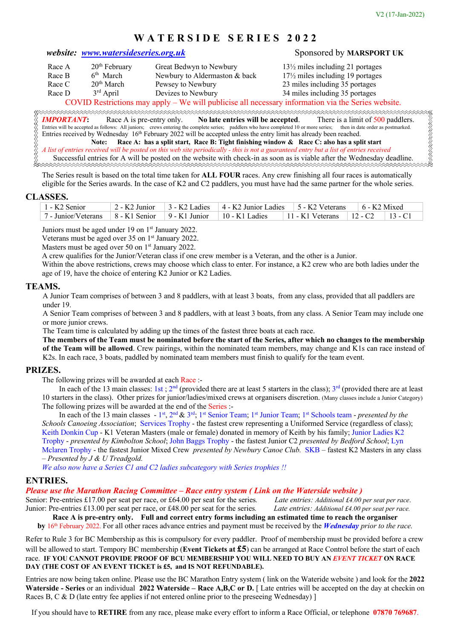# **W A T E R S I D E S E R I E S 2 0 2 2**

# *website: www.watersideseries.org.uk* Sponsored by **MARSPORT UK**

| Race A | $20th$ February        | Great Bedwyn to Newbury        |
|--------|------------------------|--------------------------------|
| Race B | 6 <sup>th</sup> March  | Newbury to Aldermaston & back  |
| Race C | 20 <sup>th</sup> March | Pewsey to Newbury              |
| Race D | $3rd$ April            | Devizes to Newbury             |
|        | COTID                  | $1 \tcdot \tcdot 11 \tcdot 11$ |

 $13\frac{1}{2}$  miles including 21 portages  $17\frac{1}{2}$  miles including 19 portages

23 miles including 35 portages

34 miles including 35 portages

# COVID Restrictions may apply – We will publicise all necessary information via the Series website.

**RRACCESSORIA DE SEU** RRRRRRRR *IMPORTANT***:** Race A is pre-entry only. **No late entries will be accepted**. There is a limit of 500 paddlers. Entries will be accepted as follows: All juniors; crews entering the complete series; paddlers who have completed 10 or more series; then in date order as postmarked. Entries received by Wednesday 16<sup>th</sup> February 2022 will be accepted unless the entry limit has already been reached. **Note: Race A: has a split start, Race B: Tight finishing window & Race C: also has a split start**

*A list of entries received will be posted on this web site periodically - this is not a guaranteed entry but a list of entries received* Successful entries for A will be posted on the website with check-in as soon as is viable after the Wednesday deadline.

The Series result is based on the total time taken for **ALL FOUR** races. Any crew finishing all four races is automatically eligible for the Series awards. In the case of K2 and C2 paddlers, you must have had the same partner for the whole series.

#### **CLASSES.**

| $1 - K2$ Senior                                                                                                                                                                                                                                                                                       |  | 2 - K2 Junior $\begin{bmatrix} 3 \\ -K2 \end{bmatrix}$ Ladies $\begin{bmatrix} 4 \\ -K2 \end{bmatrix}$ Junior Ladies $\begin{bmatrix} 5 \\ -K2 \end{bmatrix}$ Seterans $\begin{bmatrix} 6 \\ -K2 \end{bmatrix}$ Mixed |  |  |  |
|-------------------------------------------------------------------------------------------------------------------------------------------------------------------------------------------------------------------------------------------------------------------------------------------------------|--|-----------------------------------------------------------------------------------------------------------------------------------------------------------------------------------------------------------------------|--|--|--|
| 7 - Junior/Veterans $\begin{bmatrix} 8 & -K1 \end{bmatrix}$ Senior $\begin{bmatrix} 9 & -K1 \end{bmatrix}$ Junior $\begin{bmatrix} 10 & -K1 \end{bmatrix}$ Ladies $\begin{bmatrix} 11 & -K1 \end{bmatrix}$ Veterans $\begin{bmatrix} 12 & -C2 \end{bmatrix}$ $\begin{bmatrix} 13 & -C1 \end{bmatrix}$ |  |                                                                                                                                                                                                                       |  |  |  |

Juniors must be aged under 19 on  $1<sup>st</sup>$  January 2022.

Veterans must be aged over 35 on 1<sup>st</sup> January 2022.

Masters must be aged over 50 on 1<sup>st</sup> January 2022.

A crew qualifies for the Junior/Veteran class if one crew member is a Veteran, and the other is a Junior.

Within the above restrictions, crews may choose which class to enter. For instance, a K2 crew who are both ladies under the age of 19, have the choice of entering K2 Junior or K2 Ladies.

# **TEAMS.**

A Junior Team comprises of between 3 and 8 paddlers, with at least 3 boats, from any class, provided that all paddlers are under 19.

A Senior Team comprises of between 3 and 8 paddlers, with at least 3 boats, from any class. A Senior Team may include one or more junior crews.

The Team time is calculated by adding up the times of the fastest three boats at each race.

**The members of the Team must be nominated before the start of the Series, after which no changes to the membership of the Team will be allowed**. Crew pairings, within the nominated team members, may change and K1s can race instead of K2s. In each race, 3 boats, paddled by nominated team members must finish to qualify for the team event.

# **PRIZES.**

The following prizes will be awarded at each Race :-

In each of the 13 main classes: 1st;  $2<sup>nd</sup>$  (provided there are at least 5 starters in the class);  $3<sup>rd</sup>$  (provided there are at least 10 starters in the class). Other prizes for junior/ladies/mixed crews at organisers discretion. (Many classes include a Junior Category) The following prizes will be awarded at the end of the Series :-

In each of the 13 main classes - 1<sup>st</sup>, 2<sup>nd</sup> & 3<sup>rd</sup>; 1<sup>st</sup> Senior Team; 1<sup>st</sup> Junior Team; 1<sup>st</sup> Schools team - *presented by the Schools Canoeing Association*; Services Trophy - the fastest crew representing a Uniformed Service (regardless of class); Keith Donkin Cup - K1 Veteran Masters (male or female) donated in memory of Keith by his family; Junior Ladies K2 Trophy - *presented by Kimbolton School*; John Baggs Trophy - the fastest Junior C2 *presented by Bedford School*; Lyn Mclaren Trophy - the fastest Junior Mixed Crew *presented by Newbury Canoe Club.* SKB – fastest K2 Masters in any class *– Presented by J & U Treadgold.*

*We also now have a Series C1 and C2 ladies subcategory with Series trophies !!*

# **ENTRIES.**

#### *Please use the Marathon Racing Committee – Race entry system ( Link on the Waterside website )*

Senior: Pre-entries £17.00 per seat per race, or £64.00 per seat for the series*. Late entries: Additional £4.00 per seat per race*. Junior: Pre-entries £13.00 per seat per race, or £48.00 per seat for the series*. Late entries: Additional £4.00 per seat per race.*

**Race A is pre-entry only. Full and correct entry forms including an estimated time to reach the organiser by** 16th February 2022. For all other races advance entries and payment must be received by the *Wednesday prior to the race.*

Refer to Rule 3 for BC Membership as this is compulsory for every paddler. Proof of membership must be provided before a crew will be allowed to start. Tempory BC membership (**Event Tickets at £5**) can be arranged at Race Control before the start of each race. **IF YOU CANNOT PROVIDE PROOF OF BCU MEMBERSHIP YOU WILL NEED TO BUY AN** *EVENT TICKET* **ON RACE DAY (THE COST OF AN EVENT TICKET is £5, and IS NOT REFUNDABLE).**

Entries are now being taken online. Please use the BC Marathon Entry system ( link on the Wateride website ) and look for the **2022 Waterside - Series** or an individual **2022 Waterside – Race A,B,C or D.** [ Late entries will be accepted on the day at checkin on Races B, C & D (late entry fee applies if not entered online prior to the preseeing Wednesday) ]

If you should have to **RETIRE** from any race, please make every effort to inform a Race Official, or telephone **07870 769687**.